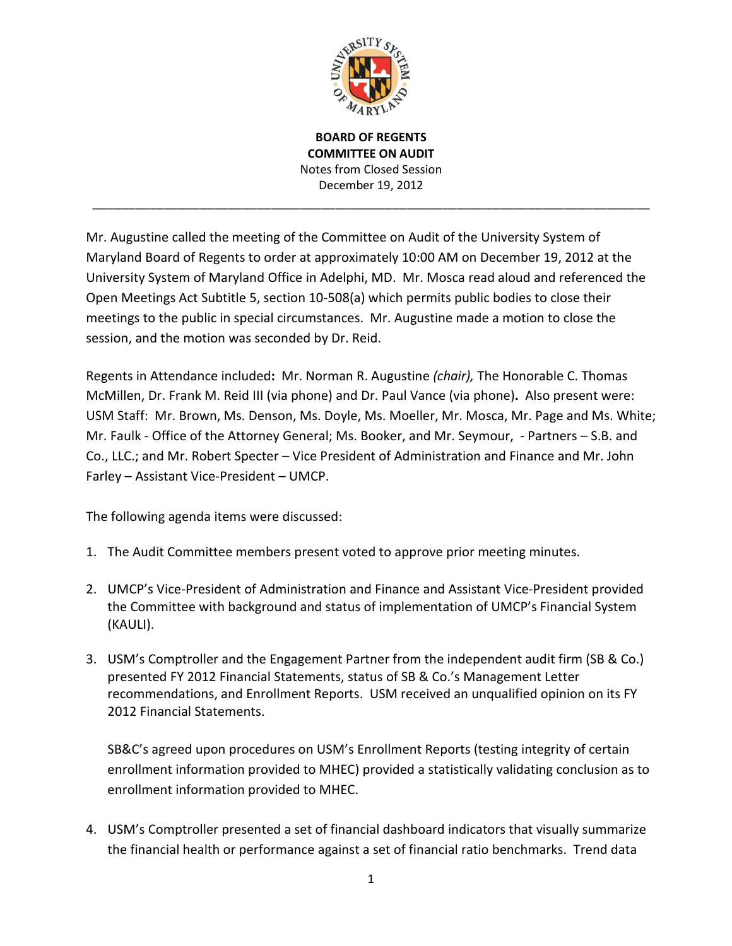

**BOARD OF REGENTS COMMITTEE ON AUDIT** Notes from Closed Session December 19, 2012

\_\_\_\_\_\_\_\_\_\_\_\_\_\_\_\_\_\_\_\_\_\_\_\_\_\_\_\_\_\_\_\_\_\_\_\_\_\_\_\_\_\_\_\_\_\_\_\_\_\_\_\_\_\_\_\_\_\_\_\_\_\_\_\_\_\_\_\_\_\_\_\_\_\_\_\_\_\_

Mr. Augustine called the meeting of the Committee on Audit of the University System of Maryland Board of Regents to order at approximately 10:00 AM on December 19, 2012 at the University System of Maryland Office in Adelphi, MD. Mr. Mosca read aloud and referenced the Open Meetings Act Subtitle 5, section 10-508(a) which permits public bodies to close their meetings to the public in special circumstances. Mr. Augustine made a motion to close the session, and the motion was seconded by Dr. Reid.

Regents in Attendance included**:** Mr. Norman R. Augustine *(chair),* The Honorable C. Thomas McMillen, Dr. Frank M. Reid III (via phone) and Dr. Paul Vance (via phone)**.** Also present were: USM Staff: Mr. Brown, Ms. Denson, Ms. Doyle, Ms. Moeller, Mr. Mosca, Mr. Page and Ms. White; Mr. Faulk - Office of the Attorney General; Ms. Booker, and Mr. Seymour, - Partners – S.B. and Co., LLC.; and Mr. Robert Specter – Vice President of Administration and Finance and Mr. John Farley – Assistant Vice-President – UMCP.

The following agenda items were discussed:

- 1. The Audit Committee members present voted to approve prior meeting minutes.
- 2. UMCP's Vice-President of Administration and Finance and Assistant Vice-President provided the Committee with background and status of implementation of UMCP's Financial System (KAULI).
- 3. USM's Comptroller and the Engagement Partner from the independent audit firm (SB & Co.) presented FY 2012 Financial Statements, status of SB & Co.'s Management Letter recommendations, and Enrollment Reports. USM received an unqualified opinion on its FY 2012 Financial Statements.

SB&C's agreed upon procedures on USM's Enrollment Reports (testing integrity of certain enrollment information provided to MHEC) provided a statistically validating conclusion as to enrollment information provided to MHEC.

4. USM's Comptroller presented a set of financial dashboard indicators that visually summarize the financial health or performance against a set of financial ratio benchmarks. Trend data